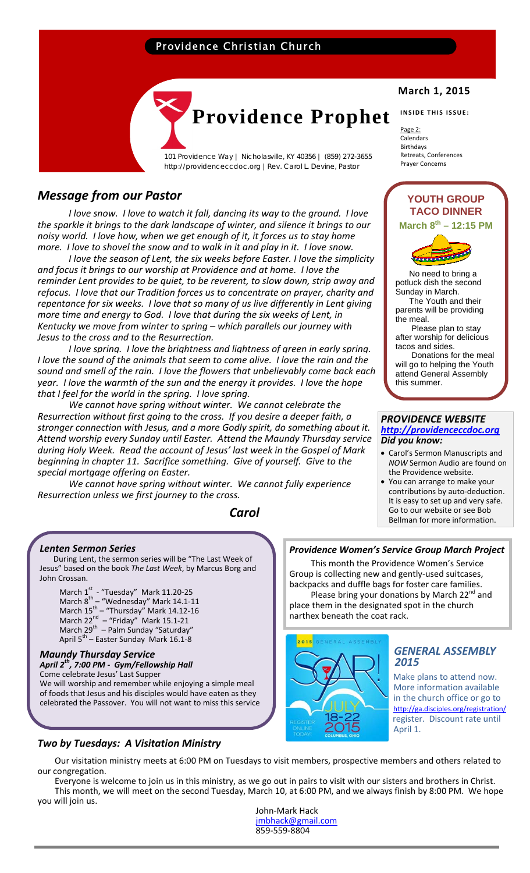# Providence Christian Church



101 Providence Way | Nicholasville, KY 40356 | (859) 272-3655 http://providenceccdoc.org |Rev. Carol L. Devine, Pastor

# *Message from our Pastor*

*I love snow. I love to watch it fall, dancing its way to the ground. I love the sparkle it brings to the dark landscape of winter, and silence it brings to our noisy world. I love how, when we get enough of it, it forces us to stay home* more. I love to shovel the snow and to walk in it and play in it. I love snow.

*I love the season of Lent, the six weeks before Easter. I love the simplicity and focus it brings to our worship at Providence and at home. I love the reminder Lent provides to be quiet, to be reverent, to slow down, strip away and refocus. I love that our Tradition forces us to concentrate on prayer, charity and repentance for six weeks. I love that so many of us live differently in Lent giving more time and energy to God. I love that during the six weeks of Lent, in Kentucky we move from winter to spring – which parallels our journey with Jesus to the cross and to the Resurrection.* 

*I love spring. I love the brightness and lightness of green in early spring. I love the sound of the animals that seem to come alive. I love the rain and the sound and smell of the rain. I love the flowers that unbelievably come back each year. I love the warmth of the sun and the energy it provides. I love the hope that I feel for the world in the spring. I love spring.*

*We cannot have spring without winter. We cannot celebrate the Resurrection without first going to the cross. If you desire a deeper faith, a stronger connection with Jesus, and a more Godly spirit, do something about it. Attend worship every Sunday until Easter. Attend the Maundy Thursday service during Holy Week. Read the account of Jesus' last week in the Gospel of Mark beginning in chapter 11. Sacrifice something. Give of yourself. Give to the special mortgage offering on Easter.* 

*We cannot have spring without winter. We cannot fully experience Resurrection unless we first journey to the cross.*

 *Carol*

### *Lenten Sermon Series*

 During Lent, the sermon series will be "The Last Week of Jesus" based on the book *The Last Week*, by Marcus Borg and John Crossan.

March  $1^{st}$  - "Tuesday" Mark 11.20-25 March 8<sup>th</sup> – "Wednesday" Mark 14.1-11 March  $15^{th}$  – "Thursday" Mark 14.12-16 March 22 $_{\odot}^{\rm nd}$  – "Friday" Mark 15.1-21 March 29<sup>th</sup> – Palm Sunday "Saturday" April 5<sup>th</sup> – Easter Sunday Mark 16.1-8

### *Maundy Thursday Service April 2th, 7:00 PM ‐ Gym/Fellowship Hall*

Come celebrate Jesus' Last Supper We will worship and remember while enjoying a simple meal of foods that Jesus and his disciples would have eaten as they celebrated the Passover. You will not want to miss this service

### *Two by Tuesdays: A Visitation Ministry*

# **March 1, 2015**

**INSIDE THIS ISSUE:**

Page 2: Calendars Birthdays Retreats, Conferences Prayer Concerns



 No need to bring a potluck dish the second Sunday in March. The Youth and their parents will be providing the meal. Please plan to stay after worship for delicious tacos and sides. Donations for the meal

will go to helping the Youth attend General Assembly this summer.

# *PROVIDENCE WEBSITE http://providenceccdoc.org Did you know:*

- Carol's Sermon Manuscripts and *NOW* Sermon Audio are found on the Providence website.
- You can arrange to make your contributions by auto‐deduction. It is easy to set up and very safe. Go to our website or see Bob Bellman for more information.

### *Providence Women's Service Group March Project*

 This month the Providence Women's Service Group is collecting new and gently‐used suitcases, backpacks and duffle bags for foster care families. Please bring your donations by March  $22<sup>nd</sup>$  and place them in the designated spot in the church narthex beneath the coat rack.



# *GENERAL ASSEMBLY <sup>2015</sup>*

 Make plans to attend now. More information available in the church office or go to http://ga.disciples.org/registration/ register. Discount rate until April 1.

 Our visitation ministry meets at 6:00 PM on Tuesdays to visit members, prospective members and others related to our congregation.

 Everyone is welcome to join us in this ministry, as we go out in pairs to visit with our sisters and brothers in Christ. This month, we will meet on the second Tuesday, March 10, at 6:00 PM, and we always finish by 8:00 PM. We hope you will join us.

> John‐Mark Hack jmbhack@gmail.com 859‐559‐8804